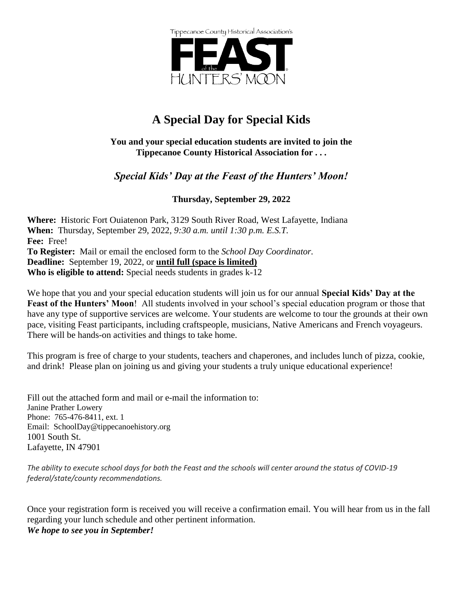

## **A Special Day for Special Kids**

#### **You and your special education students are invited to join the Tippecanoe County Historical Association for . . .**

#### *Special Kids' Day at the Feast of the Hunters' Moon!*

**Thursday, September 29, 2022**

**Where:** Historic Fort Ouiatenon Park, 3129 South River Road, West Lafayette, Indiana **When:** Thursday, September 29, 2022, *9:30 a.m. until 1:30 p.m. E.S.T.* **Fee:** Free! **To Register:** Mail or email the enclosed form to the *School Day Coordinator.* **Deadline:** September 19, 2022, or **until full (space is limited) Who is eligible to attend:** Special needs students in grades k-12

We hope that you and your special education students will join us for our annual **Special Kids' Day at the Feast of the Hunters' Moon**! All students involved in your school's special education program or those that have any type of supportive services are welcome. Your students are welcome to tour the grounds at their own pace, visiting Feast participants, including craftspeople, musicians, Native Americans and French voyageurs. There will be hands-on activities and things to take home.

This program is free of charge to your students, teachers and chaperones, and includes lunch of pizza, cookie, and drink! Please plan on joining us and giving your students a truly unique educational experience!

Fill out the attached form and mail or e-mail the information to: Janine Prather Lowery Phone: 765-476-8411, ext. 1 Email: SchoolDay@tippecanoehistory.org 1001 South St. Lafayette, IN 47901

*The ability to execute school days for both the Feast and the schools will center around the status of COVID-19 federal/state/county recommendations.* 

Once your registration form is received you will receive a confirmation email. You will hear from us in the fall regarding your lunch schedule and other pertinent information. *We hope to see you in September!*